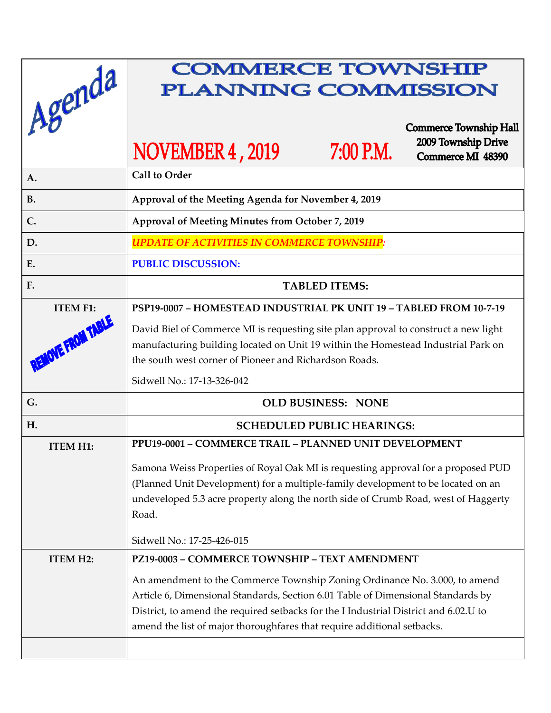| Agenda            | <b>COMMERCE TOWNSHIP</b><br><b>PLANNING COMMISSION</b>                                                                                                                                                                                                                                                                            |
|-------------------|-----------------------------------------------------------------------------------------------------------------------------------------------------------------------------------------------------------------------------------------------------------------------------------------------------------------------------------|
|                   | <b>Commerce Township Hall</b><br>2009 Township Drive<br>NOVEMBER 4, 2019<br>7:00 P.M.<br>Commerce MI 48390                                                                                                                                                                                                                        |
| A.                | <b>Call to Order</b>                                                                                                                                                                                                                                                                                                              |
| <b>B.</b>         | Approval of the Meeting Agenda for November 4, 2019                                                                                                                                                                                                                                                                               |
| $C_{\cdot}$       | Approval of Meeting Minutes from October 7, 2019                                                                                                                                                                                                                                                                                  |
| D.                | <b>UPDATE OF ACTIVITIES IN COMMERCE TOWNSHIP:</b>                                                                                                                                                                                                                                                                                 |
| E.                | <b>PUBLIC DISCUSSION:</b>                                                                                                                                                                                                                                                                                                         |
| F.                | <b>TABLED ITEMS:</b>                                                                                                                                                                                                                                                                                                              |
| <b>ITEM F1:</b>   | PSP19-0007 - HOMESTEAD INDUSTRIAL PK UNIT 19 - TABLED FROM 10-7-19                                                                                                                                                                                                                                                                |
| REMOVE FROM TABLE | David Biel of Commerce MI is requesting site plan approval to construct a new light<br>manufacturing building located on Unit 19 within the Homestead Industrial Park on<br>the south west corner of Pioneer and Richardson Roads.<br>Sidwell No.: 17-13-326-042                                                                  |
| G.                |                                                                                                                                                                                                                                                                                                                                   |
|                   | <b>OLD BUSINESS: NONE</b>                                                                                                                                                                                                                                                                                                         |
| H.                | <b>SCHEDULED PUBLIC HEARINGS:</b><br><b>PPU19-0001 – COMMERCE TRAIL – PLANNED UNIT DEVELOPMENT</b>                                                                                                                                                                                                                                |
| <b>ITEM H1:</b>   | Samona Weiss Properties of Royal Oak MI is requesting approval for a proposed PUD<br>(Planned Unit Development) for a multiple-family development to be located on an<br>undeveloped 5.3 acre property along the north side of Crumb Road, west of Haggerty<br>Road.                                                              |
|                   | Sidwell No.: 17-25-426-015                                                                                                                                                                                                                                                                                                        |
| <b>ITEM H2:</b>   | PZ19-0003 - COMMERCE TOWNSHIP - TEXT AMENDMENT                                                                                                                                                                                                                                                                                    |
|                   | An amendment to the Commerce Township Zoning Ordinance No. 3.000, to amend<br>Article 6, Dimensional Standards, Section 6.01 Table of Dimensional Standards by<br>District, to amend the required setbacks for the I Industrial District and 6.02.U to<br>amend the list of major thoroughfares that require additional setbacks. |
|                   |                                                                                                                                                                                                                                                                                                                                   |